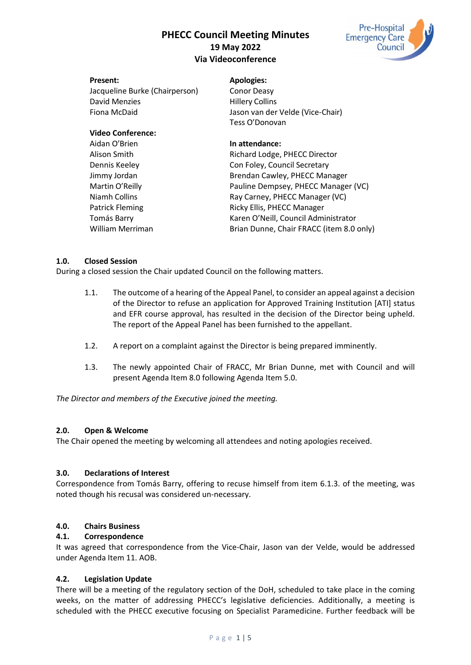# **PHECC Council Meeting Minutes 19 May 2022 Via Videoconference**



| <b>Present:</b>                | <b>Apologies:</b>                                            |
|--------------------------------|--------------------------------------------------------------|
| Jacqueline Burke (Chairperson) | <b>Conor Deasy</b>                                           |
| David Menzies                  | <b>Hillery Collins</b>                                       |
| Fiona McDaid                   | Jason van der Velde (Vice-Chair)                             |
|                                | Tess O'Donovan                                               |
| <b>Video Conference:</b>       |                                                              |
| Aidan O'Brien                  | In attendance:                                               |
| Alison Smith                   | Richard Lodge, PHECC Director                                |
| Dennis Keeley                  | Con Foley, Council Secretary                                 |
| Jimmy Jordan                   | Brendan Cawley, PHECC Manager                                |
| Martin O'Reilly                | Pauline Dempsey, PHECC Manager (VC)                          |
| $\cdots$ $\cdots$ $\cdots$     | $\mathbb{R} \cup \mathbb{R} \cap \mathbb{R} \cap \mathbb{R}$ |

Niamh Collins **Ray Carney, PHECC Manager (VC)** Patrick Fleming **Ricky Ellis, PHECC Manager** Ricky Ellis, PHECC Manager Tomás Barry **Karen O'Neill, Council Administrator** William Merriman Brian Dunne, Chair FRACC (item 8.0 only)

# **1.0. Closed Session**

During a closed session the Chair updated Council on the following matters.

- 1.1. The outcome of a hearing of the Appeal Panel, to consider an appeal against a decision of the Director to refuse an application for Approved Training Institution [ATI] status and EFR course approval, has resulted in the decision of the Director being upheld. The report of the Appeal Panel has been furnished to the appellant.
- 1.2. A report on a complaint against the Director is being prepared imminently.
- 1.3. The newly appointed Chair of FRACC, Mr Brian Dunne, met with Council and will present Agenda Item 8.0 following Agenda Item 5.0.

*The Director and members of the Executive joined the meeting.*

# **2.0. Open & Welcome**

The Chair opened the meeting by welcoming all attendees and noting apologies received.

# **3.0. Declarations of Interest**

Correspondence from Tomás Barry, offering to recuse himself from item 6.1.3. of the meeting, was noted though his recusal was considered un-necessary.

# **4.0. Chairs Business**

# **4.1. Correspondence**

It was agreed that correspondence from the Vice-Chair, Jason van der Velde, would be addressed under Agenda Item 11. AOB.

# **4.2. Legislation Update**

There will be a meeting of the regulatory section of the DoH, scheduled to take place in the coming weeks, on the matter of addressing PHECC's legislative deficiencies. Additionally, a meeting is scheduled with the PHECC executive focusing on Specialist Paramedicine. Further feedback will be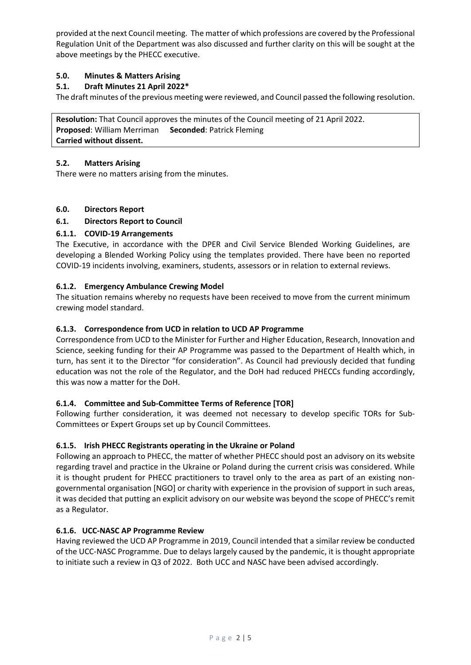provided at the next Council meeting. The matter of which professions are covered by the Professional Regulation Unit of the Department was also discussed and further clarity on this will be sought at the above meetings by the PHECC executive.

# **5.0. Minutes & Matters Arising**

# **5.1. Draft Minutes 21 April 2022\***

The draft minutes of the previous meeting were reviewed, and Council passed the following resolution.

**Resolution:** That Council approves the minutes of the Council meeting of 21 April 2022. **Proposed**: William Merriman **Seconded**: Patrick Fleming **Carried without dissent.**

# **5.2. Matters Arising**

There were no matters arising from the minutes.

# **6.0. Directors Report**

# **6.1. Directors Report to Council**

# **6.1.1. COVID-19 Arrangements**

The Executive, in accordance with the DPER and Civil Service Blended Working Guidelines, are developing a Blended Working Policy using the templates provided. There have been no reported COVID-19 incidents involving, examiners, students, assessors or in relation to external reviews.

# **6.1.2. Emergency Ambulance Crewing Model**

The situation remains whereby no requests have been received to move from the current minimum crewing model standard.

# **6.1.3. Correspondence from UCD in relation to UCD AP Programme**

Correspondence from UCD to the Minister for Further and Higher Education, Research, Innovation and Science, seeking funding for their AP Programme was passed to the Department of Health which, in turn, has sent it to the Director "for consideration". As Council had previously decided that funding education was not the role of the Regulator, and the DoH had reduced PHECCs funding accordingly, this was now a matter for the DoH.

# **6.1.4. Committee and Sub-Committee Terms of Reference [TOR]**

Following further consideration, it was deemed not necessary to develop specific TORs for Sub-Committees or Expert Groups set up by Council Committees.

# **6.1.5. Irish PHECC Registrants operating in the Ukraine or Poland**

Following an approach to PHECC, the matter of whether PHECC should post an advisory on its website regarding travel and practice in the Ukraine or Poland during the current crisis was considered. While it is thought prudent for PHECC practitioners to travel only to the area as part of an existing nongovernmental organisation [NGO] or charity with experience in the provision of support in such areas, it was decided that putting an explicit advisory on our website was beyond the scope of PHECC's remit as a Regulator.

# **6.1.6. UCC-NASC AP Programme Review**

Having reviewed the UCD AP Programme in 2019, Council intended that a similar review be conducted of the UCC-NASC Programme. Due to delays largely caused by the pandemic, it is thought appropriate to initiate such a review in Q3 of 2022. Both UCC and NASC have been advised accordingly.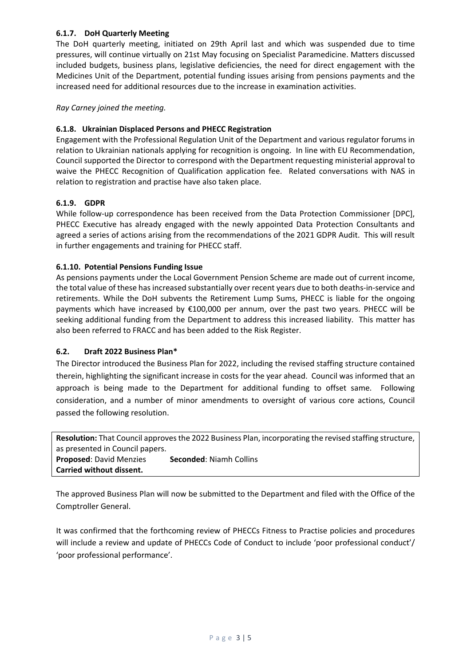# **6.1.7. DoH Quarterly Meeting**

The DoH quarterly meeting, initiated on 29th April last and which was suspended due to time pressures, will continue virtually on 21st May focusing on Specialist Paramedicine. Matters discussed included budgets, business plans, legislative deficiencies, the need for direct engagement with the Medicines Unit of the Department, potential funding issues arising from pensions payments and the increased need for additional resources due to the increase in examination activities.

*Ray Carney joined the meeting.*

# **6.1.8. Ukrainian Displaced Persons and PHECC Registration**

Engagement with the Professional Regulation Unit of the Department and various regulator forums in relation to Ukrainian nationals applying for recognition is ongoing. In line with EU Recommendation, Council supported the Director to correspond with the Department requesting ministerial approval to waive the PHECC Recognition of Qualification application fee. Related conversations with NAS in relation to registration and practise have also taken place.

# **6.1.9. GDPR**

While follow-up correspondence has been received from the Data Protection Commissioner [DPC], PHECC Executive has already engaged with the newly appointed Data Protection Consultants and agreed a series of actions arising from the recommendations of the 2021 GDPR Audit. This will result in further engagements and training for PHECC staff.

# **6.1.10. Potential Pensions Funding Issue**

As pensions payments under the Local Government Pension Scheme are made out of current income, the total value of these has increased substantially over recent years due to both deaths-in-service and retirements. While the DoH subvents the Retirement Lump Sums, PHECC is liable for the ongoing payments which have increased by €100,000 per annum, over the past two years. PHECC will be seeking additional funding from the Department to address this increased liability. This matter has also been referred to FRACC and has been added to the Risk Register.

# **6.2. Draft 2022 Business Plan\***

The Director introduced the Business Plan for 2022, including the revised staffing structure contained therein, highlighting the significant increase in costs for the year ahead. Council was informed that an approach is being made to the Department for additional funding to offset same. Following consideration, and a number of minor amendments to oversight of various core actions, Council passed the following resolution.

**Resolution:** That Council approvesthe 2022 Business Plan, incorporating the revised staffing structure, as presented in Council papers. **Proposed**: David Menzies **Seconded**: Niamh Collins **Carried without dissent.**

The approved Business Plan will now be submitted to the Department and filed with the Office of the Comptroller General.

It was confirmed that the forthcoming review of PHECCs Fitness to Practise policies and procedures will include a review and update of PHECCs Code of Conduct to include 'poor professional conduct'/ 'poor professional performance'.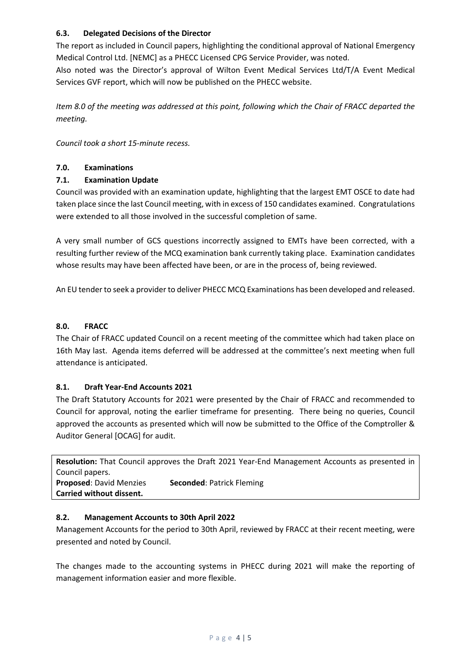# **6.3. Delegated Decisions of the Director**

The report as included in Council papers, highlighting the conditional approval of National Emergency Medical Control Ltd. [NEMC] as a PHECC Licensed CPG Service Provider, was noted.

Also noted was the Director's approval of Wilton Event Medical Services Ltd/T/A Event Medical Services GVF report, which will now be published on the PHECC website.

*Item 8.0 of the meeting was addressed at this point, following which the Chair of FRACC departed the meeting.*

*Council took a short 15-minute recess.*

# **7.0. Examinations**

# **7.1. Examination Update**

Council was provided with an examination update, highlighting that the largest EMT OSCE to date had taken place since the last Council meeting, with in excess of 150 candidates examined. Congratulations were extended to all those involved in the successful completion of same.

A very small number of GCS questions incorrectly assigned to EMTs have been corrected, with a resulting further review of the MCQ examination bank currently taking place. Examination candidates whose results may have been affected have been, or are in the process of, being reviewed.

An EU tender to seek a provider to deliver PHECC MCQ Examinations has been developed and released.

# **8.0. FRACC**

The Chair of FRACC updated Council on a recent meeting of the committee which had taken place on 16th May last. Agenda items deferred will be addressed at the committee's next meeting when full attendance is anticipated.

# **8.1. Draft Year-End Accounts 2021**

The Draft Statutory Accounts for 2021 were presented by the Chair of FRACC and recommended to Council for approval, noting the earlier timeframe for presenting. There being no queries, Council approved the accounts as presented which will now be submitted to the Office of the Comptroller & Auditor General [OCAG] for audit.

**Resolution:** That Council approves the Draft 2021 Year-End Management Accounts as presented in Council papers. **Proposed**: David Menzies **Seconded**: Patrick Fleming **Carried without dissent.**

# **8.2. Management Accounts to 30th April 2022**

Management Accounts for the period to 30th April, reviewed by FRACC at their recent meeting, were presented and noted by Council.

The changes made to the accounting systems in PHECC during 2021 will make the reporting of management information easier and more flexible.